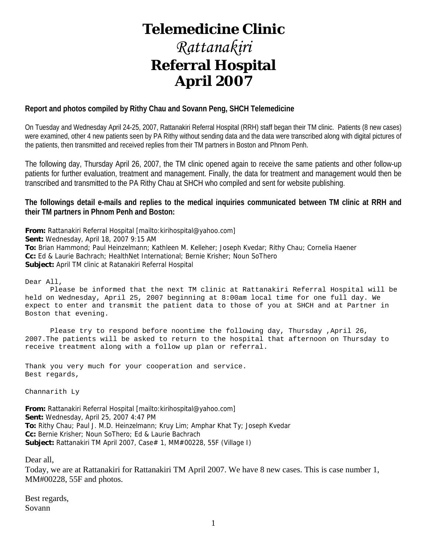# **Telemedicine Clinic**

# *Rattanakiri*  **Referral Hospital April 2007**

# **Report and photos compiled by Rithy Chau and Sovann Peng, SHCH Telemedicine**

On Tuesday and Wednesday April 24-25, 2007, Rattanakiri Referral Hospital (RRH) staff began their TM clinic. Patients (8 new cases) were examined, other 4 new patients seen by PA Rithy without sending data and the data were transcribed along with digital pictures of the patients, then transmitted and received replies from their TM partners in Boston and Phnom Penh.

The following day, Thursday April 26, 2007, the TM clinic opened again to receive the same patients and other follow-up patients for further evaluation, treatment and management. Finally, the data for treatment and management would then be transcribed and transmitted to the PA Rithy Chau at SHCH who compiled and sent for website publishing.

# **The followings detail e-mails and replies to the medical inquiries communicated between TM clinic at RRH and their TM partners in Phnom Penh and Boston:**

**From:** Rattanakiri Referral Hospital [mailto:kirihospital@yahoo.com] **Sent:** Wednesday, April 18, 2007 9:15 AM **To:** Brian Hammond; Paul Heinzelmann; Kathleen M. Kelleher; Joseph Kvedar; Rithy Chau; Cornelia Haener **Cc:** Ed & Laurie Bachrach; HealthNet International; Bernie Krisher; Noun SoThero **Subject:** April TM clinic at Ratanakiri Referral Hospital

Dear All,

 Please be informed that the next TM clinic at Rattanakiri Referral Hospital will be held on Wednesday, April 25, 2007 beginning at 8:00am local time for one full day. We expect to enter and transmit the patient data to those of you at SHCH and at Partner in Boston that evening.

 Please try to respond before noontime the following day, Thursday ,April 26, 2007.The patients will be asked to return to the hospital that afternoon on Thursday to receive treatment along with a follow up plan or referral.

Thank you very much for your cooperation and service. Best regards,

Channarith Ly

**From:** Rattanakiri Referral Hospital [mailto:kirihospital@yahoo.com] **Sent:** Wednesday, April 25, 2007 4:47 PM **To:** Rithy Chau; Paul J. M.D. Heinzelmann; Kruy Lim; Amphar Khat Ty; Joseph Kvedar **Cc:** Bernie Krisher; Noun SoThero; Ed & Laurie Bachrach Subject: Rattanakiri TM April 2007, Case# 1, MM#00228, 55F (Village I)

Dear all,

Today, we are at Rattanakiri for Rattanakiri TM April 2007. We have 8 new cases. This is case number 1, MM#00228, 55F and photos.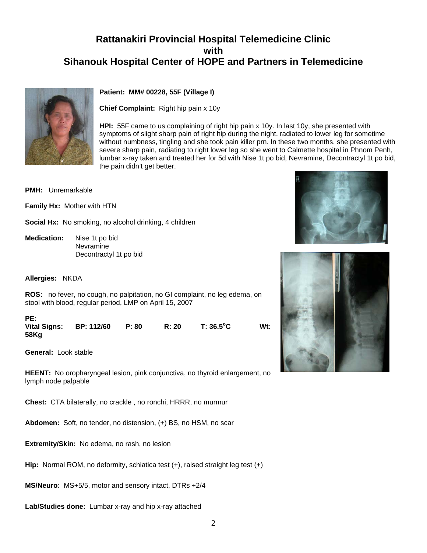

# **Patient: MM# 00228, 55F (Village I)**

**Chief Complaint:** Right hip pain x 10y

**HPI:** 55F came to us complaining of right hip pain x 10y. In last 10y, she presented with symptoms of slight sharp pain of right hip during the night, radiated to lower leg for sometime without numbness, tingling and she took pain killer prn. In these two months, she presented with severe sharp pain, radiating to right lower leg so she went to Calmette hospital in Phnom Penh, lumbar x-ray taken and treated her for 5d with Nise 1t po bid, Nevramine, Decontractyl 1t po bid, the pain didn't get better.

**Wt:** 

**PMH:** Unremarkable

**Family Hx:** Mother with HTN

**Social Hx:** No smoking, no alcohol drinking, 4 children

**Medication:** Nise 1t po bid Nevramine Decontractyl 1t po bid

**Allergies:** NKDA

**ROS:** no fever, no cough, no palpitation, no GI complaint, no leg edema, on stool with blood, regular period, LMP on April 15, 2007

**PE:** 

**Vital Signs: BP: 112/60 P: 80 R: 20 T: 36.5<sup>o</sup> 58Kg**

**General:** Look stable

**HEENT:** No oropharyngeal lesion, pink conjunctiva, no thyroid enlargement, no lymph node palpable

**Chest:** CTA bilaterally, no crackle , no ronchi, HRRR, no murmur

**Abdomen:** Soft, no tender, no distension, (+) BS, no HSM, no scar

**Extremity/Skin:** No edema, no rash, no lesion

**Hip:** Normal ROM, no deformity, schiatica test (+), raised straight leg test (+)

**MS/Neuro:** MS+5/5, motor and sensory intact, DTRs +2/4

**Lab/Studies done:** Lumbar x-ray and hip x-ray attached



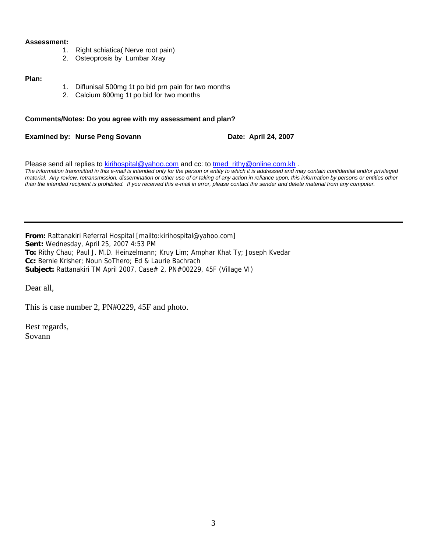#### **Assessment:**

- 1. Right schiatica( Nerve root pain)
- 2. Osteoprosis by Lumbar Xray

#### **Plan:**

- 1. Diflunisal 500mg 1t po bid prn pain for two months
- 2. Calcium 600mg 1t po bid for two months

#### **Comments/Notes: Do you agree with my assessment and plan?**

**Examined by: Nurse Peng Sovann Date: April 24, 2007** 

Please send all replies to [kirihospital@yahoo.com](mailto:kirihospital@yahoo.com) and cc: to tmed rithy@online.com.kh . *The information transmitted in this e-mail is intended only for the person or entity to which it is addressed and may contain confidential and/or privileged material. Any review, retransmission, dissemination or other use of or taking of any action in reliance upon, this information by persons or entities other than the intended recipient is prohibited. If you received this e-mail in error, please contact the sender and delete material from any computer.*

**From:** Rattanakiri Referral Hospital [mailto:kirihospital@yahoo.com] **Sent:** Wednesday, April 25, 2007 4:53 PM **To:** Rithy Chau; Paul J. M.D. Heinzelmann; Kruy Lim; Amphar Khat Ty; Joseph Kvedar **Cc:** Bernie Krisher; Noun SoThero; Ed & Laurie Bachrach **Subject:** Rattanakiri TM April 2007, Case# 2, PN#00229, 45F (Village VI)

Dear all,

This is case number 2, PN#0229, 45F and photo.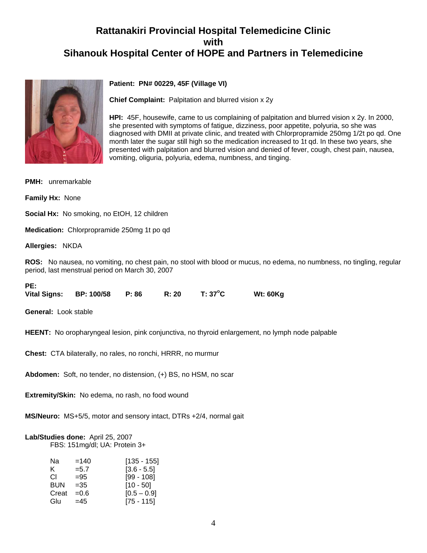

# **Patient: PN# 00229, 45F (Village VI)**

**Chief Complaint:** Palpitation and blurred vision x 2y

**HPI:** 45F, housewife, came to us complaining of palpitation and blurred vision x 2y. In 2000, she presented with symptoms of fatigue, dizziness, poor appetite, polyuria, so she was diagnosed with DMII at private clinic, and treated with Chlorpropramide 250mg 1/2t po qd. One month later the sugar still high so the medication increased to 1t qd. In these two years, she presented with palpitation and blurred vision and denied of fever, cough, chest pain, nausea, vomiting, oliguria, polyuria, edema, numbness, and tinging.

**PMH:** unremarkable

**Family Hx:** None

**Social Hx:** No smoking, no EtOH, 12 children

**Medication:** Chlorpropramide 250mg 1t po qd

**Allergies:** NKDA

**ROS:** No nausea, no vomiting, no chest pain, no stool with blood or mucus, no edema, no numbness, no tingling, regular period, last menstrual period on March 30, 2007

#### **PE:**

**Vital Signs: BP: 100/58 P: 86 R: 20 T: 37<sup>o</sup> C Wt: 60Kg**

**General:** Look stable

**HEENT:** No oropharyngeal lesion, pink conjunctiva, no thyroid enlargement, no lymph node palpable

**Chest:** CTA bilaterally, no rales, no ronchi, HRRR, no murmur

**Abdomen:** Soft, no tender, no distension, (+) BS, no HSM, no scar

**Extremity/Skin:** No edema, no rash, no food wound

**MS/Neuro:** MS+5/5, motor and sensory intact, DTRs +2/4, normal gait

# **Lab/Studies done:** April 25, 2007

FBS: 151mg/dl; UA: Protein 3+

| Na         | $=140$  | $[135 - 155]$ |
|------------|---------|---------------|
| K.         | $= 5.7$ | $[3.6 - 5.5]$ |
| СL         | $= 95$  | $[99 - 108]$  |
| <b>BUN</b> | $=35$   | $[10 - 50]$   |
| Creat      | $=0.6$  | $[0.5 - 0.9]$ |
| Glu        | $=45$   | $[75 - 115]$  |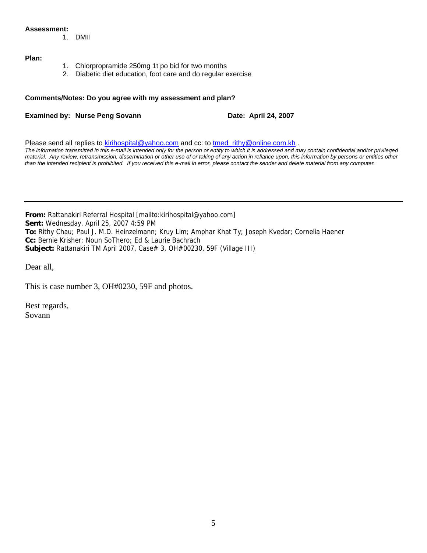#### **Assessment:**

1. DMII

## **Plan:**

- 1. Chlorpropramide 250mg 1t po bid for two months
- 2. Diabetic diet education, foot care and do regular exercise

#### **Comments/Notes: Do you agree with my assessment and plan?**

**Examined by: Nurse Peng Sovann Date: April 24, 2007** 

Please send all replies to [kirihospital@yahoo.com](mailto:kirihospital@yahoo.com) and cc: to [tmed\\_rithy@online.com.kh](mailto:tmed_rithy@bigpond.com.kh) . *The information transmitted in this e-mail is intended only for the person or entity to which it is addressed and may contain confidential and/or privileged* 

*material. Any review, retransmission, dissemination or other use of or taking of any action in reliance upon, this information by persons or entities other than the intended recipient is prohibited. If you received this e-mail in error, please contact the sender and delete material from any computer.*

**From:** Rattanakiri Referral Hospital [mailto:kirihospital@yahoo.com] **Sent:** Wednesday, April 25, 2007 4:59 PM **To:** Rithy Chau; Paul J. M.D. Heinzelmann; Kruy Lim; Amphar Khat Ty; Joseph Kvedar; Cornelia Haener **Cc:** Bernie Krisher; Noun SoThero; Ed & Laurie Bachrach **Subject:** Rattanakiri TM April 2007, Case# 3, OH#00230, 59F (Village III)

Dear all,

This is case number 3, OH#0230, 59F and photos.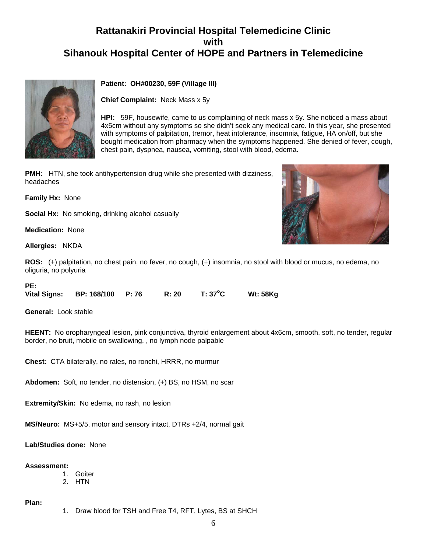

# **Patient: OH#00230, 59F (Village III)**

**Chief Complaint:** Neck Mass x 5y

**HPI:** 59F, housewife, came to us complaining of neck mass x 5y. She noticed a mass about 4x5cm without any symptoms so she didn't seek any medical care. In this year, she presented with symptoms of palpitation, tremor, heat intolerance, insomnia, fatigue, HA on/off, but she bought medication from pharmacy when the symptoms happened. She denied of fever, cough, chest pain, dyspnea, nausea, vomiting, stool with blood, edema.

**PMH:** HTN, she took antihypertension drug while she presented with dizziness, headaches

**Family Hx:** None

**Social Hx:** No smoking, drinking alcohol casually

**Medication:** None

**Allergies:** NKDA

**ROS:** (+) palpitation, no chest pain, no fever, no cough, (+) insomnia, no stool with blood or mucus, no edema, no oliguria, no polyuria

#### **PE:**

**Vital Signs: BP: 168/100 P: 76 R: 20 T: 37<sup>o</sup> C Wt: 58Kg**

**General:** Look stable

**HEENT:** No oropharyngeal lesion, pink conjunctiva, thyroid enlargement about 4x6cm, smooth, soft, no tender, regular border, no bruit, mobile on swallowing, , no lymph node palpable

**Chest:** CTA bilaterally, no rales, no ronchi, HRRR, no murmur

**Abdomen:** Soft, no tender, no distension, (+) BS, no HSM, no scar

**Extremity/Skin:** No edema, no rash, no lesion

**MS/Neuro:** MS+5/5, motor and sensory intact, DTRs +2/4, normal gait

**Lab/Studies done:** None

#### **Assessment:**

- 1. Goiter
- 2. HTN

**Plan:**

1. Draw blood for TSH and Free T4, RFT, Lytes, BS at SHCH

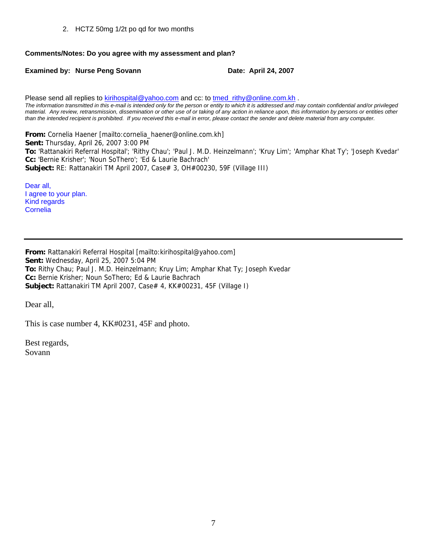2. HCTZ 50mg 1/2t po qd for two months

# **Comments/Notes: Do you agree with my assessment and plan?**

**Examined by: Nurse Peng Sovann Date: April 24, 2007** 

Please send all replies to [kirihospital@yahoo.com](mailto:kirihospital@yahoo.com) and cc: to [tmed\\_rithy@online.com.kh](mailto:tmed_rithy@bigpond.com.kh) . *The information transmitted in this e-mail is intended only for the person or entity to which it is addressed and may contain confidential and/or privileged material. Any review, retransmission, dissemination or other use of or taking of any action in reliance upon, this information by persons or entities other than the intended recipient is prohibited. If you received this e-mail in error, please contact the sender and delete material from any computer.*

**From:** Cornelia Haener [mailto:cornelia\_haener@online.com.kh] **Sent:** Thursday, April 26, 2007 3:00 PM **To:** 'Rattanakiri Referral Hospital'; 'Rithy Chau'; 'Paul J. M.D. Heinzelmann'; 'Kruy Lim'; 'Amphar Khat Ty'; 'Joseph Kvedar' **Cc:** 'Bernie Krisher'; 'Noun SoThero'; 'Ed & Laurie Bachrach' **Subject:** RE: Rattanakiri TM April 2007, Case# 3, OH#00230, 59F (Village III)

Dear all, I agree to your plan. Kind regards Cornelia

**From:** Rattanakiri Referral Hospital [mailto:kirihospital@yahoo.com] **Sent:** Wednesday, April 25, 2007 5:04 PM **To:** Rithy Chau; Paul J. M.D. Heinzelmann; Kruy Lim; Amphar Khat Ty; Joseph Kvedar **Cc:** Bernie Krisher; Noun SoThero; Ed & Laurie Bachrach **Subject:** Rattanakiri TM April 2007, Case# 4, KK#00231, 45F (Village I)

Dear all,

This is case number 4, KK#0231, 45F and photo.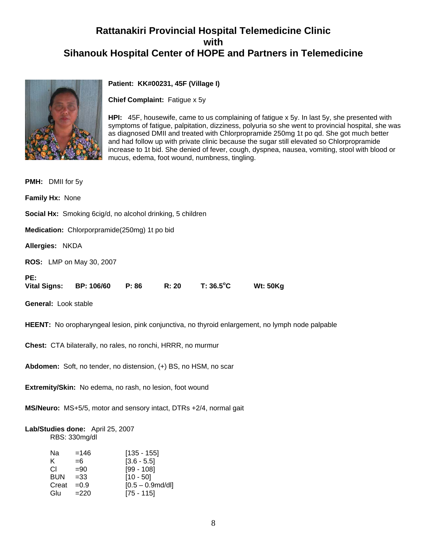

# **Patient: KK#00231, 45F (Village I)**

**Chief Complaint:** Fatigue x 5y

**HPI:** 45F, housewife, came to us complaining of fatigue x 5y. In last 5y, she presented with symptoms of fatigue, palpitation, dizziness, polyuria so she went to provincial hospital, she was as diagnosed DMII and treated with Chlorpropramide 250mg 1t po qd. She got much better and had follow up with private clinic because the sugar still elevated so Chlorpropramide increase to 1t bid. She denied of fever, cough, dyspnea, nausea, vomiting, stool with blood or mucus, edema, foot wound, numbness, tingling.

| <b>PMH:</b> DMII for 5y                                                                                     |  |  |  |  |  |
|-------------------------------------------------------------------------------------------------------------|--|--|--|--|--|
| Family Hx: None                                                                                             |  |  |  |  |  |
| <b>Social Hx:</b> Smoking 6cig/d, no alcohol drinking, 5 children                                           |  |  |  |  |  |
| Medication: Chlorporpramide(250mg) 1t po bid                                                                |  |  |  |  |  |
| Allergies: NKDA                                                                                             |  |  |  |  |  |
| <b>ROS:</b> LMP on May 30, 2007                                                                             |  |  |  |  |  |
| PE:<br>$T: 36.5^{\circ}$ C<br>R: 20<br><b>Wt: 50Kg</b><br><b>Vital Signs:</b><br><b>BP: 106/60</b><br>P: 86 |  |  |  |  |  |
| General: Look stable                                                                                        |  |  |  |  |  |
| <b>HEENT:</b> No oropharyngeal lesion, pink conjunctiva, no thyroid enlargement, no lymph node palpable     |  |  |  |  |  |
| Chest: CTA bilaterally, no rales, no ronchi, HRRR, no murmur                                                |  |  |  |  |  |
| Abdomen: Soft, no tender, no distension, (+) BS, no HSM, no scar                                            |  |  |  |  |  |

**Extremity/Skin:** No edema, no rash, no lesion, foot wound

**MS/Neuro:** MS+5/5, motor and sensory intact, DTRs +2/4, normal gait

#### **Lab/Studies done:** April 25, 2007 RBS: 330mg/dl

| Na         | $=146$  | $[135 - 155]$       |
|------------|---------|---------------------|
| K.         | $=6$    | $[3.6 - 5.5]$       |
| СI         | $=90$   | $[99 - 108]$        |
| <b>BUN</b> | $= 33$  | $[10 - 50]$         |
| Creat      | $= 0.9$ | $[0.5 - 0.9$ md/dl] |
| Glu        | $=220$  | $[75 - 115]$        |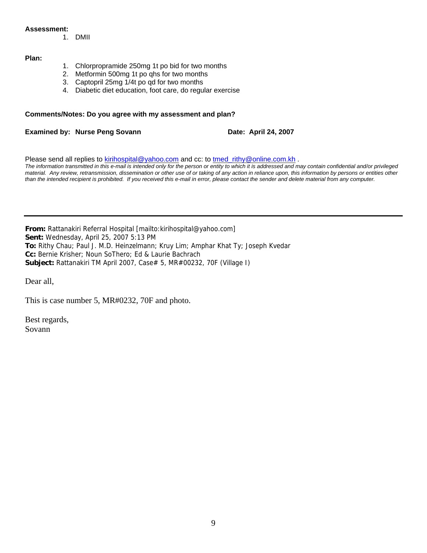#### **Assessment:**

1. DMII

#### **Plan:**

- 1. Chlorpropramide 250mg 1t po bid for two months
- 2. Metformin 500mg 1t po qhs for two months
- 3. Captopril 25mg 1/4t po qd for two months
- 4. Diabetic diet education, foot care, do regular exercise

#### **Comments/Notes: Do you agree with my assessment and plan?**

**Examined by: Nurse Peng Sovann Date: April 24, 2007** 

Please send all replies to [kirihospital@yahoo.com](mailto:kirihospital@yahoo.com) and cc: to [tmed\\_rithy@online.com.kh](mailto:tmed_rithy@bigpond.com.kh) . *The information transmitted in this e-mail is intended only for the person or entity to which it is addressed and may contain confidential and/or privileged material. Any review, retransmission, dissemination or other use of or taking of any action in reliance upon, this information by persons or entities other than the intended recipient is prohibited. If you received this e-mail in error, please contact the sender and delete material from any computer.*

**From:** Rattanakiri Referral Hospital [mailto:kirihospital@yahoo.com] **Sent:** Wednesday, April 25, 2007 5:13 PM **To:** Rithy Chau; Paul J. M.D. Heinzelmann; Kruy Lim; Amphar Khat Ty; Joseph Kvedar **Cc:** Bernie Krisher; Noun SoThero; Ed & Laurie Bachrach **Subject:** Rattanakiri TM April 2007, Case# 5, MR#00232, 70F (Village I)

Dear all,

This is case number 5, MR#0232, 70F and photo.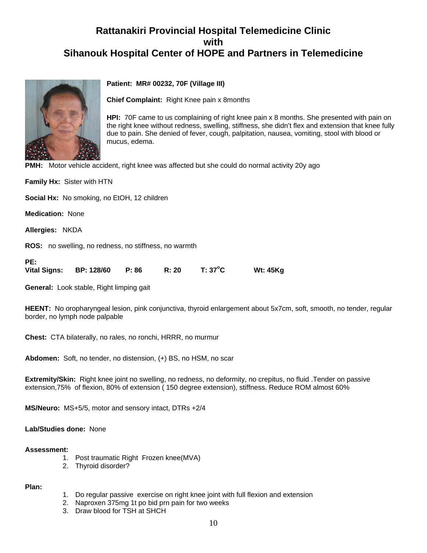

# **Patient: MR# 00232, 70F (Village III)**

**Chief Complaint:** Right Knee pain x 8months

**HPI:** 70F came to us complaining of right knee pain x 8 months. She presented with pain on the right knee without redness, swelling, stiffness, she didn't flex and extension that knee fully due to pain. She denied of fever, cough, palpitation, nausea, vomiting, stool with blood or mucus, edema.

**PMH:** Motor vehicle accident, right knee was affected but she could do normal activity 20y ago

**Family Hx:** Sister with HTN

**Social Hx:** No smoking, no EtOH, 12 children

**Medication:** None

**Allergies:** NKDA

**ROS:** no swelling, no redness, no stiffness, no warmth

| PE: |                         |       |       |                  |                 |
|-----|-------------------------|-------|-------|------------------|-----------------|
|     | Vital Signs: BP: 128/60 | P: 86 | R: 20 | $T: 37^{\circ}C$ | <b>Wt: 45Kg</b> |

**General:** Look stable, Right limping gait

**HEENT:** No oropharyngeal lesion, pink conjunctiva, thyroid enlargement about 5x7cm, soft, smooth, no tender, regular border, no lymph node palpable

**Chest:** CTA bilaterally, no rales, no ronchi, HRRR, no murmur

**Abdomen:** Soft, no tender, no distension, (+) BS, no HSM, no scar

**Extremity/Skin:** Right knee joint no swelling, no redness, no deformity, no crepitus, no fluid .Tender on passive extension,75% of flexion, 80% of extension ( 150 degree extension), stiffness. Reduce ROM almost 60%

**MS/Neuro:** MS+5/5, motor and sensory intact, DTRs +2/4

#### **Lab/Studies done:** None

#### **Assessment:**

- 1. Post traumatic Right Frozen knee(MVA)
- 2. Thyroid disorder?

#### **Plan:**

- 1. Do regular passive exercise on right knee joint with full flexion and extension
- 2. Naproxen 375mg 1t po bid prn pain for two weeks
- 3. Draw blood for TSH at SHCH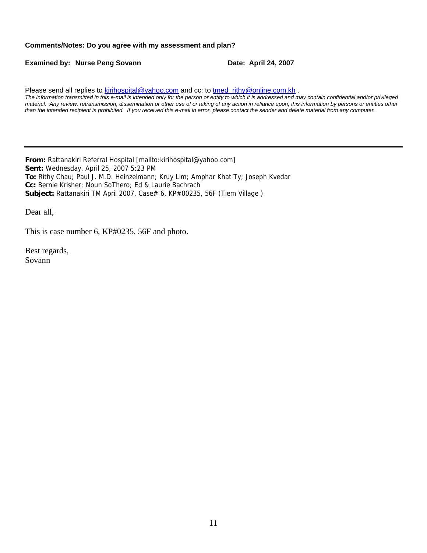#### **Comments/Notes: Do you agree with my assessment and plan?**

**Examined by: Nurse Peng Sovann Date: April 24, 2007** 

Please send all replies to [kirihospital@yahoo.com](mailto:kirihospital@yahoo.com) and cc: to tmed rithy@online.com.kh . *The information transmitted in this e-mail is intended only for the person or entity to which it is addressed and may contain confidential and/or privileged material. Any review, retransmission, dissemination or other use of or taking of any action in reliance upon, this information by persons or entities other than the intended recipient is prohibited. If you received this e-mail in error, please contact the sender and delete material from any computer.*

**From:** Rattanakiri Referral Hospital [mailto:kirihospital@yahoo.com] **Sent:** Wednesday, April 25, 2007 5:23 PM **To:** Rithy Chau; Paul J. M.D. Heinzelmann; Kruy Lim; Amphar Khat Ty; Joseph Kvedar **Cc:** Bernie Krisher; Noun SoThero; Ed & Laurie Bachrach Subject: Rattanakiri TM April 2007, Case# 6, KP#00235, 56F (Tiem Village)

Dear all,

This is case number 6, KP#0235, 56F and photo.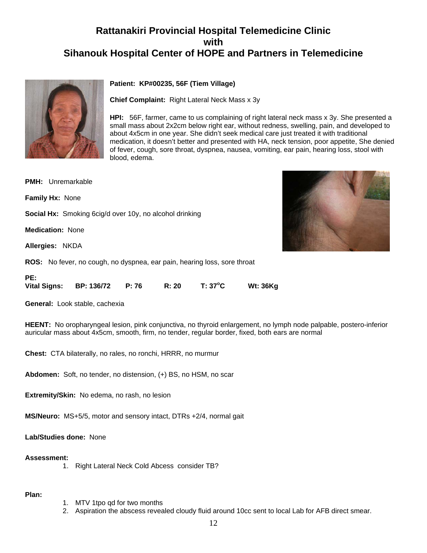

# **Patient: KP#00235, 56F (Tiem Village)**

**Chief Complaint:** Right Lateral Neck Mass x 3y

**HPI:** 56F, farmer, came to us complaining of right lateral neck mass x 3y. She presented a small mass about 2x2cm below right ear, without redness, swelling, pain, and developed to about 4x5cm in one year. She didn't seek medical care just treated it with traditional medication, it doesn't better and presented with HA, neck tension, poor appetite, She denied of fever, cough, sore throat, dyspnea, nausea, vomiting, ear pain, hearing loss, stool with blood, edema.

**PMH:** Unremarkable **Family Hx:** None **Social Hx:** Smoking 6cig/d over 10y, no alcohol drinking **Medication:** None **Allergies:** NKDA **ROS:** No fever, no cough, no dyspnea, ear pain, hearing loss, sore throat



| <b>Vital Signs:</b> | <b>BP: 136/72</b> | P: 76 | R: 20 | $T: 37^{\circ}C$ | <b>Wt: 36Kg</b> |
|---------------------|-------------------|-------|-------|------------------|-----------------|
|                     |                   |       |       |                  |                 |

**General:** Look stable, cachexia

**HEENT:** No oropharyngeal lesion, pink conjunctiva, no thyroid enlargement, no lymph node palpable, postero-inferior auricular mass about 4x5cm, smooth, firm, no tender, regular border, fixed, both ears are normal

**Chest:** CTA bilaterally, no rales, no ronchi, HRRR, no murmur

**Abdomen:** Soft, no tender, no distension, (+) BS, no HSM, no scar

**Extremity/Skin:** No edema, no rash, no lesion

**MS/Neuro:** MS+5/5, motor and sensory intact, DTRs +2/4, normal gait

**Lab/Studies done:** None

#### **Assessment:**

1. Right Lateral Neck Cold Abcess consider TB?

#### **Plan:**

**PE:** 

- 1. MTV 1tpo qd for two months
- 2. Aspiration the abscess revealed cloudy fluid around 10cc sent to local Lab for AFB direct smear.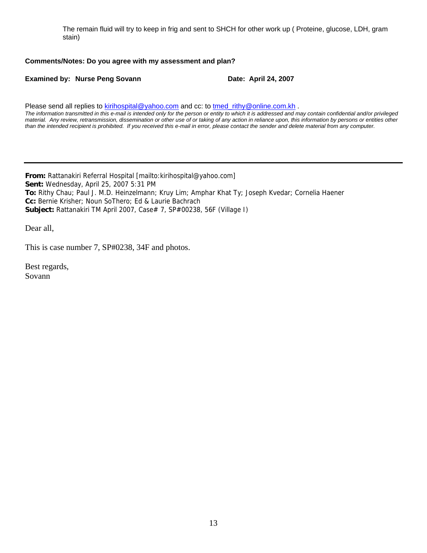The remain fluid will try to keep in frig and sent to SHCH for other work up ( Proteine, glucose, LDH, gram stain)

## **Comments/Notes: Do you agree with my assessment and plan?**

**Examined by: Nurse Peng Sovann Date: April 24, 2007** 

Please send all replies to [kirihospital@yahoo.com](mailto:kirihospital@yahoo.com) and cc: to [tmed\\_rithy@online.com.kh](mailto:tmed_rithy@bigpond.com.kh) .

*The information transmitted in this e-mail is intended only for the person or entity to which it is addressed and may contain confidential and/or privileged material. Any review, retransmission, dissemination or other use of or taking of any action in reliance upon, this information by persons or entities other than the intended recipient is prohibited. If you received this e-mail in error, please contact the sender and delete material from any computer.*

**From:** Rattanakiri Referral Hospital [mailto:kirihospital@yahoo.com] **Sent:** Wednesday, April 25, 2007 5:31 PM **To:** Rithy Chau; Paul J. M.D. Heinzelmann; Kruy Lim; Amphar Khat Ty; Joseph Kvedar; Cornelia Haener **Cc:** Bernie Krisher; Noun SoThero; Ed & Laurie Bachrach **Subject:** Rattanakiri TM April 2007, Case# 7, SP#00238, 56F (Village I)

Dear all,

This is case number 7, SP#0238, 34F and photos.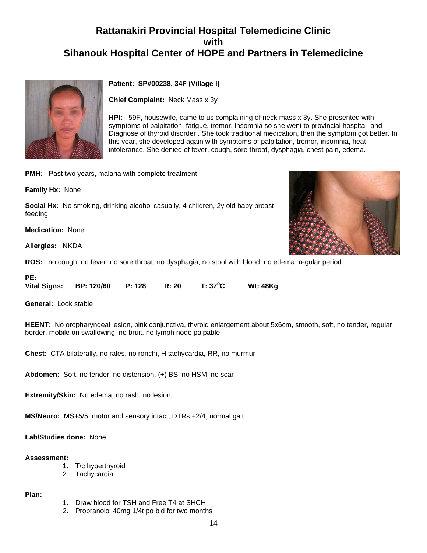

# **Patient: SP#00238, 34F (Village I)**

**Chief Complaint:** Neck Mass x 3y

**HPI:** 59F, housewife, came to us complaining of neck mass x 3y. She presented with symptoms of palpitation, fatigue, tremor, insomnia so she went to provincial hospital and Diagnose of thyroid disorder . She took traditional medication, then the symptom got better. In this year, she developed again with symptoms of palpitation, tremor, insomnia, heat intolerance. She denied of fever, cough, sore throat, dysphagia, chest pain, edema.

**PMH:** Past two years, malaria with complete treatment

**Family Hx:** None

**Social Hx:** No smoking, drinking alcohol casually, 4 children, 2y old baby breast feeding

**Medication:** None

**Allergies:** NKDA

**ROS:** no cough, no fever, no sore throat, no dysphagia, no stool with blood, no edema, regular period

**PE:** 

**Vital Signs: BP: 120/60 P: 128 R: 20 T: 37<sup>o</sup> C Wt: 48Kg**

**General:** Look stable

**HEENT:** No oropharyngeal lesion, pink conjunctiva, thyroid enlargement about 5x6cm, smooth, soft, no tender, regular border, mobile on swallowing, no bruit, no lymph node palpable

**Chest:** CTA bilaterally, no rales, no ronchi, H tachycardia, RR, no murmur

**Abdomen:** Soft, no tender, no distension, (+) BS, no HSM, no scar

**Extremity/Skin:** No edema, no rash, no lesion

**MS/Neuro:** MS+5/5, motor and sensory intact, DTRs +2/4, normal gait

**Lab/Studies done:** None

#### **Assessment:**

- 1. T/c hyperthyroid
- 2. Tachycardia

#### **Plan:**

- 1. Draw blood for TSH and Free T4 at SHCH
- 2. Propranolol 40mg 1/4t po bid for two months

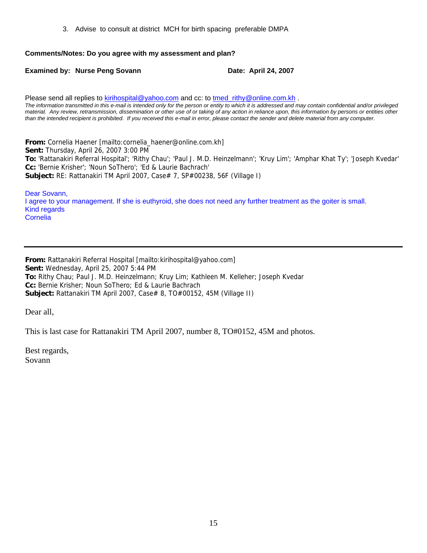3. Advise to consult at district MCH for birth spacing preferable DMPA

# **Comments/Notes: Do you agree with my assessment and plan?**

**Examined by: Nurse Peng Sovann Date: April 24, 2007** 

Please send all replies to [kirihospital@yahoo.com](mailto:kirihospital@yahoo.com) and cc: to [tmed\\_rithy@online.com.kh](mailto:tmed_rithy@bigpond.com.kh) . *The information transmitted in this e-mail is intended only for the person or entity to which it is addressed and may contain confidential and/or privileged material. Any review, retransmission, dissemination or other use of or taking of any action in reliance upon, this information by persons or entities other than the intended recipient is prohibited. If you received this e-mail in error, please contact the sender and delete material from any computer.*

**From:** Cornelia Haener [mailto:cornelia\_haener@online.com.kh] **Sent:** Thursday, April 26, 2007 3:00 PM **To:** 'Rattanakiri Referral Hospital'; 'Rithy Chau'; 'Paul J. M.D. Heinzelmann'; 'Kruy Lim'; 'Amphar Khat Ty'; 'Joseph Kvedar' **Cc:** 'Bernie Krisher'; 'Noun SoThero'; 'Ed & Laurie Bachrach' **Subject:** RE: Rattanakiri TM April 2007, Case# 7, SP#00238, 56F (Village I)

Dear Sovann, I agree to your management. If she is euthyroid, she does not need any further treatment as the goiter is small. Kind regards Cornelia

**From:** Rattanakiri Referral Hospital [mailto:kirihospital@yahoo.com] **Sent:** Wednesday, April 25, 2007 5:44 PM **To:** Rithy Chau; Paul J. M.D. Heinzelmann; Kruy Lim; Kathleen M. Kelleher; Joseph Kvedar **Cc:** Bernie Krisher; Noun SoThero; Ed & Laurie Bachrach **Subject:** Rattanakiri TM April 2007, Case# 8, TO#00152, 45M (Village II)

Dear all,

This is last case for Rattanakiri TM April 2007, number 8, TO#0152, 45M and photos.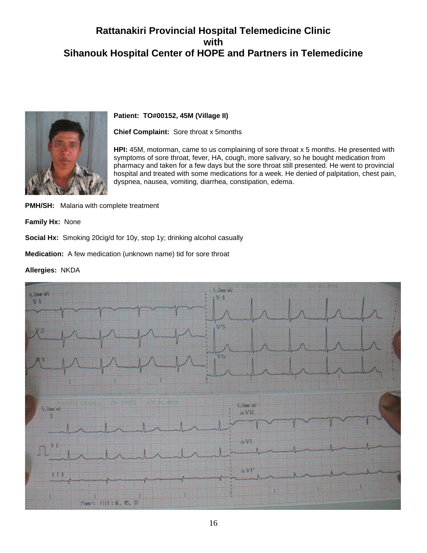

# **Patient: TO#00152, 45M (Village II)**

**Chief Complaint:** Sore throat x 5months

**HPI:** 45M, motorman, came to us complaining of sore throat x 5 months. He presented with symptoms of sore throat, fever, HA, cough, more salivary, so he bought medication from pharmacy and taken for a few days but the sore throat still presented. He went to provincial hospital and treated with some medications for a week. He denied of palpitation, chest pain, dyspnea, nausea, vomiting, diarrhea, constipation, edema.

**PMH/SH:** Malaria with complete treatment

**Family Hx:** None

**Social Hx:** Smoking 20cig/d for 10y, stop 1y; drinking alcohol casually

**Medication:** A few medication (unknown name) tid for sore throat

**Allergies:** NKDA

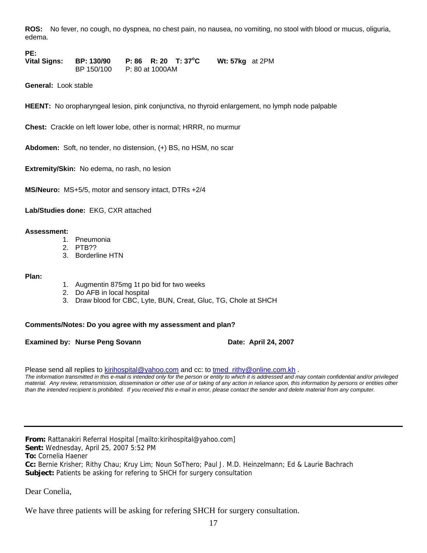**ROS:** No fever, no cough, no dyspnea, no chest pain, no nausea, no vomiting, no stool with blood or mucus, oliguria, edema.

**PE:** 

**Vital Signs: BP: 130/90 P: 86 R: 20 T: 37<sup>o</sup> C Wt: 57kg** at 2PM BP 150/100 P: 80 at 1000AM

**General:** Look stable

**HEENT:** No oropharyngeal lesion, pink conjunctiva, no thyroid enlargement, no lymph node palpable

**Chest:** Crackle on left lower lobe, other is normal; HRRR, no murmur

**Abdomen:** Soft, no tender, no distension, (+) BS, no HSM, no scar

**Extremity/Skin:** No edema, no rash, no lesion

**MS/Neuro:** MS+5/5, motor and sensory intact, DTRs +2/4

**Lab/Studies done:** EKG, CXR attached

#### **Assessment:**

- 1. Pneumonia
- 2. PTB??
- 3. Borderline HTN

#### **Plan:**

- 1. Augmentin 875mg 1t po bid for two weeks
- 2. Do AFB in local hospital
- 3. Draw blood for CBC, Lyte, BUN, Creat, Gluc, TG, Chole at SHCH

#### **Comments/Notes: Do you agree with my assessment and plan?**

**Examined by: Nurse Peng Sovann Date: April 24, 2007** 

Please send all replies to [kirihospital@yahoo.com](mailto:kirihospital@yahoo.com) and cc: to tmed\_rithy@online.com.kh.

*The information transmitted in this e-mail is intended only for the person or entity to which it is addressed and may contain confidential and/or privileged material. Any review, retransmission, dissemination or other use of or taking of any action in reliance upon, this information by persons or entities other than the intended recipient is prohibited. If you received this e-mail in error, please contact the sender and delete material from any computer.*

**From:** Rattanakiri Referral Hospital [mailto:kirihospital@yahoo.com] **Sent:** Wednesday, April 25, 2007 5:52 PM **To:** Cornelia Haener **Cc:** Bernie Krisher; Rithy Chau; Kruy Lim; Noun SoThero; Paul J. M.D. Heinzelmann; Ed & Laurie Bachrach **Subject:** Patients be asking for refering to SHCH for surgery consultation

Dear Conelia,

We have three patients will be asking for refering SHCH for surgery consultation.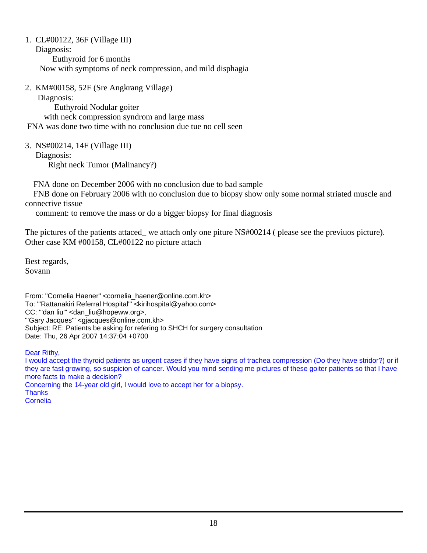1. CL#00122, 36F (Village III)

Diagnosis:

 Euthyroid for 6 months Now with symptoms of neck compression, and mild disphagia

2. KM#00158, 52F (Sre Angkrang Village)

Diagnosis:

 Euthyroid Nodular goiter with neck compression syndrom and large mass FNA was done two time with no conclusion due tue no cell seen

3. NS#00214, 14F (Village III) Diagnosis:

Right neck Tumor (Malinancy?)

FNA done on December 2006 with no conclusion due to bad sample

 FNB done on February 2006 with no conclusion due to biopsy show only some normal striated muscle and connective tissue

comment: to remove the mass or do a bigger biopsy for final diagnosis

The pictures of the patients attaced\_ we attach only one piture NS#00214 ( please see the previuos picture). Other case KM #00158, CL#00122 no picture attach

Best regards, Sovann

From: "Cornelia Haener" <cornelia\_haener@online.com.kh> To: "'Rattanakiri Referral Hospital'" <kirihospital@yahoo.com> CC: "'dan liu'" <dan\_liu@hopeww.org>, "'Gary Jacques'" <gjacques@online.com.kh> Subject: RE: Patients be asking for refering to SHCH for surgery consultation Date: Thu, 26 Apr 2007 14:37:04 +0700

Dear Rithy,

I would accept the thyroid patients as urgent cases if they have signs of trachea compression (Do they have stridor?) or if they are fast growing, so suspicion of cancer. Would you mind sending me pictures of these goiter patients so that I have more facts to make a decision? Concerning the 14-year old girl, I would love to accept her for a biopsy. **Thanks** Cornelia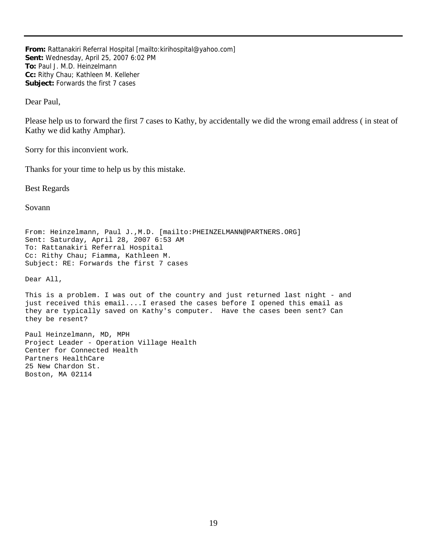**From:** Rattanakiri Referral Hospital [mailto:kirihospital@yahoo.com] **Sent:** Wednesday, April 25, 2007 6:02 PM **To:** Paul J. M.D. Heinzelmann **Cc:** Rithy Chau; Kathleen M. Kelleher **Subject:** Forwards the first 7 cases

Dear Paul,

Please help us to forward the first 7 cases to Kathy, by accidentally we did the wrong email address ( in steat of Kathy we did kathy Amphar).

Sorry for this inconvient work.

Thanks for your time to help us by this mistake.

Best Regards

Sovann

From: Heinzelmann, Paul J.,M.D. [mailto:PHEINZELMANN@PARTNERS.ORG] Sent: Saturday, April 28, 2007 6:53 AM To: Rattanakiri Referral Hospital Cc: Rithy Chau; Fiamma, Kathleen M. Subject: RE: Forwards the first 7 cases

Dear All,

This is a problem. I was out of the country and just returned last night - and just received this email....I erased the cases before I opened this email as they are typically saved on Kathy's computer. Have the cases been sent? Can they be resent?

Paul Heinzelmann, MD, MPH Project Leader - Operation Village Health Center for Connected Health Partners HealthCare 25 New Chardon St. Boston, MA 02114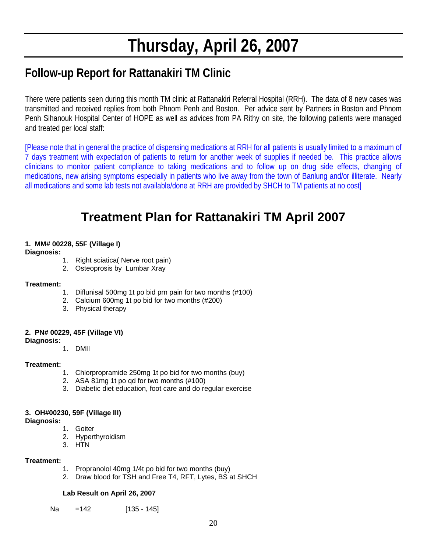# **Thursday, April 26, 2007**

# **Follow-up Report for Rattanakiri TM Clinic**

There were patients seen during this month TM clinic at Rattanakiri Referral Hospital (RRH). The data of 8 new cases was transmitted and received replies from both Phnom Penh and Boston. Per advice sent by Partners in Boston and Phnom Penh Sihanouk Hospital Center of HOPE as well as advices from PA Rithy on site, the following patients were managed and treated per local staff:

[Please note that in general the practice of dispensing medications at RRH for all patients is usually limited to a maximum of 7 days treatment with expectation of patients to return for another week of supplies if needed be. This practice allows clinicians to monitor patient compliance to taking medications and to follow up on drug side effects, changing of medications, new arising symptoms especially in patients who live away from the town of Banlung and/or illiterate. Nearly all medications and some lab tests not available/done at RRH are provided by SHCH to TM patients at no cost]

# **Treatment Plan for Rattanakiri TM April 2007**

# **1. MM# 00228, 55F (Village I)**

# **Diagnosis:**

- 1. Right sciatica( Nerve root pain)
- 2. Osteoprosis by Lumbar Xray

# **Treatment:**

- 1. Diflunisal 500mg 1t po bid prn pain for two months (#100)
- 2. Calcium 600mg 1t po bid for two months (#200)
- 3. Physical therapy

# **2. PN# 00229, 45F (Village VI)**

# **Diagnosis:**

1. DMII

# **Treatment:**

- 1. Chlorpropramide 250mg 1t po bid for two months (buy)
- 2. ASA 81mg 1t po qd for two months (#100)
- 3. Diabetic diet education, foot care and do regular exercise

# **3. OH#00230, 59F (Village III)**

# **Diagnosis:**

- 1. Goiter
- 2. Hyperthyroidism
- 3. HTN

# **Treatment:**

- 1. Propranolol 40mg 1/4t po bid for two months (buy)
- 2. Draw blood for TSH and Free T4, RFT, Lytes, BS at SHCH

# **Lab Result on April 26, 2007**

Na = 142 [135 - 145]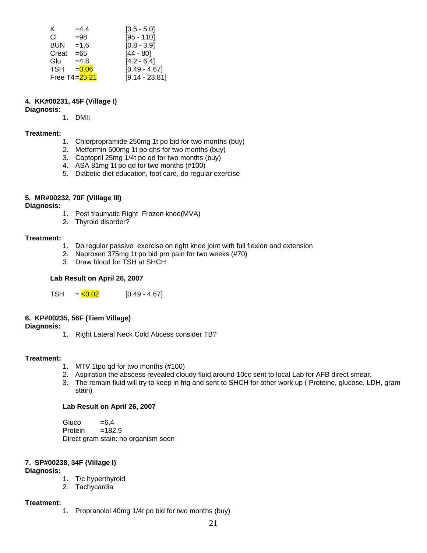| K.         | $=4.4$        | $[3.5 - 5.0]$    |
|------------|---------------|------------------|
| СI         | $= 98$        | $[95 - 110]$     |
| <b>BUN</b> | $=1.6$        | $[0.8 - 3.9]$    |
| Creat      | $= 65$        | $[44 - 80]$      |
| Glu        | $=4.8$        | $[4.2 - 6.4]$    |
| TSH        | $= 0.06$      | $[0.49 - 4.67]$  |
|            | Free T4=25.21 | $[9.14 - 23.81]$ |

## **4. KK#00231, 45F (Village I)**

**Diagnosis:**

1. DMII

#### **Treatment:**

- 1. Chlorpropramide 250mg 1t po bid for two months (buy)
- 2. Metformin 500mg 1t po qhs for two months (buy)
- 3. Captopril 25mg 1/4t po qd for two months (buy)
- 4. ASA 81mg 1t po qd for two months (#100)
- 5. Diabetic diet education, foot care, do regular exercise

#### **5. MR#00232, 70F (Village III)**

**Diagnosis:**

- 1. Post traumatic Right Frozen knee(MVA)
- 2. Thyroid disorder?

#### **Treatment:**

- 1. Do regular passive exercise on right knee joint with full flexion and extension
- 2. Naproxen 375mg 1t po bid prn pain for two weeks (#70)
- 3. Draw blood for TSH at SHCH

## **Lab Result on April 26, 2007**

TSH  $=$   $\sqrt{0.02}$  [0.49 - 4.67]

# **6. KP#00235, 56F (Tiem Village)**

**Diagnosis:**

1. Right Lateral Neck Cold Abcess consider TB?

#### **Treatment:**

- 1. MTV 1tpo qd for two months (#100)
- 2. Aspiration the abscess revealed cloudy fluid around 10cc sent to local Lab for AFB direct smear.
- 3. The remain fluid will try to keep in frig and sent to SHCH for other work up ( Proteine, glucose, LDH, gram stain)

#### **Lab Result on April 26, 2007**

Gluco  $=6.4$ <br>Protein  $=182.9$ Protein Direct gram stain: no organism seen

# **7. SP#00238, 34F (Village I)**

**Diagnosis:**

- 1. T/c hyperthyroid
- 2. Tachycardia

#### **Treatment:**

1. Propranolol 40mg 1/4t po bid for two months (buy)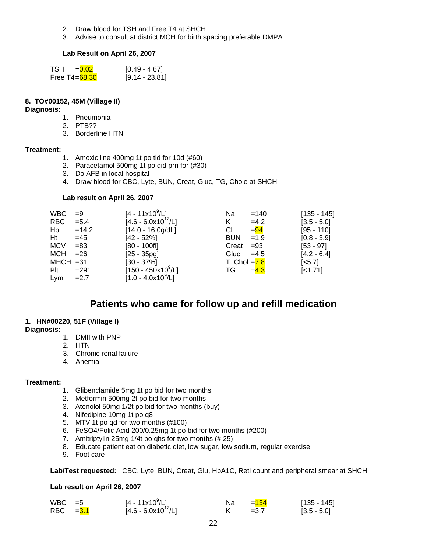- 2. Draw blood for TSH and Free T4 at SHCH
- 3. Advise to consult at district MCH for birth spacing preferable DMPA

#### **Lab Result on April 26, 2007**

| TSH = 0.02       | $[0.49 - 4.67]$  |
|------------------|------------------|
| Free T4= $68.30$ | $[9.14 - 23.81]$ |

#### **8. TO#00152, 45M (Village II)**

#### **Diagnosis:**

- 1. Pneumonia
- 2. PTB??
- 3. Borderline HTN

#### **Treatment:**

- 1. Amoxiciline 400mg 1t po tid for 10d (#60)
- 2. Paracetamol 500mg 1t po qid prn for (#30)
- 3. Do AFB in local hospital
- 4. Draw blood for CBC, Lyte, BUN, Creat, Gluc, TG, Chole at SHCH

#### **Lab result on April 26, 2007**

| <b>WBC</b>  | $=9$    | $[4 - 11x10^9/L]$       | Na              | $=140$ | $[135 - 145]$         |
|-------------|---------|-------------------------|-----------------|--------|-----------------------|
| RBC         | $= 5.4$ | $[4.6 - 6.0x10^{12}/L]$ | Κ               | $=4.2$ | $[3.5 - 5.0]$         |
| Hb          | $=14.2$ | $[14.0 - 16.0g/dL]$     | СI              | $= 94$ | $[95 - 110]$          |
| Ht          | $=45$   | $[42 - 52%]$            | <b>BUN</b>      | $=1.9$ | $[0.8 - 3.9]$         |
| <b>MCV</b>  | $= 83$  | [80 - 100fl]            | Creat           | $= 93$ | $[53 - 97]$           |
| MCH         | $= 26$  | $[25 - 35pg]$           | Gluc            | $=4.5$ | $[4.2 - 6.4]$         |
| $MHCH = 31$ |         | $[30 - 37\%]$           | T. Chol $= 7.8$ |        | $\left[ <5.7 \right]$ |
| Plt         | $= 291$ | $[150 - 450x10^9/L]$    | TG              | $=4.3$ | $[-1.71]$             |
| Lym         | $=2.7$  | $[1.0 - 4.0x10^9/L]$    |                 |        |                       |

# **Patients who came for follow up and refill medication**

#### **1. HN#00220, 51F (Village I)**

#### **Diagnosis:**

- 1. DMII with PNP
- 2. HTN
- 3. Chronic renal failure
- 4. Anemia

#### **Treatment:**

- 1. Glibenclamide 5mg 1t po bid for two months
- 2. Metformin 500mg 2t po bid for two months
- 3. Atenolol 50mg 1/2t po bid for two months (buy)
- 4. Nifedipine 10mg 1t po q8
- 5. MTV 1t po qd for two months (#100)
- 6. FeSO4/Folic Acid 200/0.25mg 1t po bid for two months (#200)
- 7. Amitriptylin 25mg 1/4t po qhs for two months (# 25)
- 8. Educate patient eat on diabetic diet, low sugar, low sodium, regular exercise
- 9. Foot care

**Lab/Test requested:** CBC, Lyte, BUN, Creat, Glu, HbA1C, Reti count and peripheral smear at SHCH

#### **Lab result on April 26, 2007**

| $WBC = 5$  | $[4 - 11 \times 10^9/L]$ | Na. | $= 134$ | $[135 - 145]$ |
|------------|--------------------------|-----|---------|---------------|
| RBC $=3.1$ | $[4.6 - 6.0x10^{12}/L]$  |     | $=3.7$  | $[3.5 - 5.0]$ |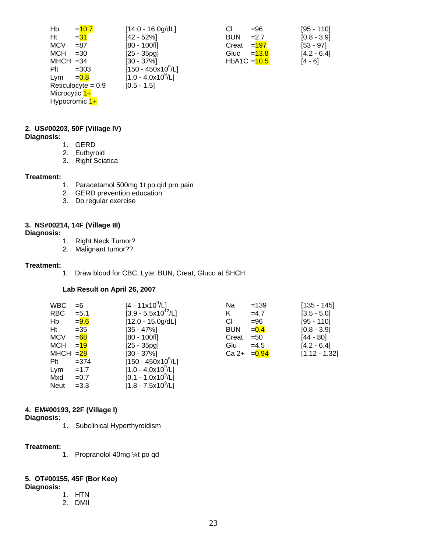| Hb            | $=10.7$              | $[14.0 - 16.0g/dL]$         | СI             | $= 96$   | $[95 - 110]$  |
|---------------|----------------------|-----------------------------|----------------|----------|---------------|
| Ht            | $= 31$               | $[42 - 52%]$                | <b>BUN</b>     | $=2.7$   | $[0.8 - 3.9]$ |
| <b>MCV</b>    | $= 87$               | [80 - 100fl]                | Creat          | $=197$   | $[53 - 97]$   |
| <b>MCH</b>    | $=30$                | $[25 - 35pg]$               | Gluc           | $= 13.8$ | $[4.2 - 6.4]$ |
| $MHCH = 34$   |                      | [30 - 37%]                  | HbA1C $=$ 10.5 |          | $[4 - 6]$     |
| Plt           | $=303$               | $[150 - 450 \times 10^9/L]$ |                |          |               |
| Lym           | $= 0.8$              | $[1.0 - 4.0x10^9/L]$        |                |          |               |
|               | Reticulocyte = $0.9$ | $[0.5 - 1.5]$               |                |          |               |
| Microcytic 1+ |                      |                             |                |          |               |
|               | Hypocromic 1+        |                             |                |          |               |

| =96      | $[95 - 110]$   |
|----------|----------------|
| $=2.7$   | $[0.8 - 3.9]$  |
| $=197$   | $[53 - 97]$    |
| $= 13.8$ | $[4.2 - 6.4]$  |
|          | [4 - 6]        |
|          | HbA1C $=$ 10.5 |

# **2. US#00203, 50F (Village IV)**

#### **Diagnosis:**

- 1. GERD
- 2. Euthyroid
- 3. Right Sciatica

#### **Treatment:**

- 1. Paracetamol 500mg 1t po qid prn pain
- 2. GERD prevention education
- 3. Do regular exercise

#### **3. NS#00214, 14F (Village III)**

#### **Diagnosis:**

- 1. Right Neck Tumor?
- 2. Malignant tumor??

#### **Treatment:**

1. Draw blood for CBC, Lyte, BUN, Creat, Gluco at SHCH

#### **Lab Result on April 26, 2007**

| <b>WBC</b>  | $=6$    | $[4 - 11 \times 10^9/L]$         | Na         | $=139$   | $[135 - 145]$   |
|-------------|---------|----------------------------------|------------|----------|-----------------|
| <b>RBC</b>  | $= 5.1$ | $[3.9 - 5.5 \times 10^{12} / L]$ | Κ          | $=4.7$   | $[3.5 - 5.0]$   |
| Hb          | $= 9.6$ | $[12.0 - 15.0g/dL]$              | CI         | $= 96$   | $[95 - 110]$    |
| Ht          | $=35$   | $[35 - 47\%]$                    | <b>BUN</b> | $= 0.4$  | $[0.8 - 3.9]$   |
| <b>MCV</b>  | $=68$   | [80 - 100fl]                     | Creat      | $=50$    | $[44 - 80]$     |
| <b>MCH</b>  | $=19$   | $[25 - 35pq]$                    | Glu        | $=4.5$   | $[4.2 - 6.4]$   |
| MHCH $=28$  |         | $[30 - 37\%]$                    | $Ca2+$     | $= 0.94$ | $[1.12 - 1.32]$ |
| Plt         | $= 374$ | $[150 - 450x10^9/L]$             |            |          |                 |
| Lym         | $=1.7$  | $[1.0 - 4.0x10^9/L]$             |            |          |                 |
| Mxd         | $=0.7$  | $[0.1 - 1.0x10^9/L]$             |            |          |                 |
| <b>Neut</b> | $=3.3$  | $[1.8 - 7.5x10^9/L]$             |            |          |                 |

# **4. EM#00193, 22F (Village I)**

**Diagnosis:**

1. Subclinical Hyperthyroidism

## **Treatment:**

1. Propranolol 40mg ¼t po qd

# **5. OT#00155, 45F (Bor Keo)**

**Diagnosis:** 

- 1. HTN
- 2. DMII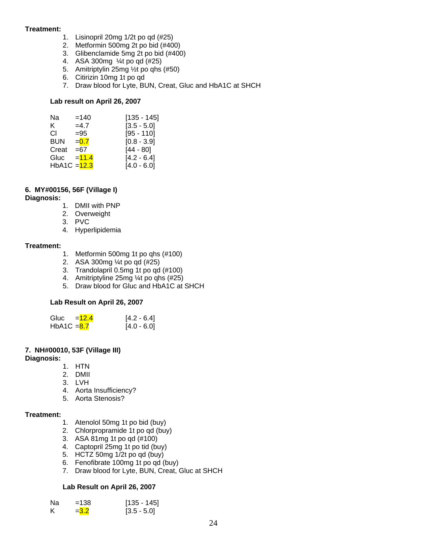#### **Treatment:**

- 1. Lisinopril 20mg 1/2t po qd (#25)
- 2. Metformin 500mg 2t po bid (#400)
- 3. Glibenclamide 5mg 2t po bid (#400)
- 4. ASA 300mg ¼t po qd (#25)
- 5. Amitriptylin 25mg ½t po qhs (#50)
- 6. Citirizin 10mg 1t po qd
- 7. Draw blood for Lyte, BUN, Creat, Gluc and HbA1C at SHCH

#### **Lab result on April 26, 2007**

| Na             | $=140$  | $[135 - 145]$ |
|----------------|---------|---------------|
| ĸ.             | $=4.7$  | $[3.5 - 5.0]$ |
| CI.            | $= 95$  | $[95 - 110]$  |
| BUN            | $= 0.7$ | $[0.8 - 3.9]$ |
| Creat          | $= 67$  | $[44 - 80]$   |
| Gluc           | $=11.4$ | $[4.2 - 6.4]$ |
| HbA1C = $12.3$ |         | $[4.0 - 6.0]$ |

# **6. MY#00156, 56F (Village I)**

#### **Diagnosis:**

- 1. DMII with PNP
- 2. Overweight
- 3. PVC
- 4. Hyperlipidemia

#### **Treatment:**

- 1. Metformin 500mg 1t po qhs (#100)
- 2. ASA 300mg ¼t po qd (#25)
- 3. Trandolapril 0.5mg 1t po qd (#100)
- 4. Amitriptyline 25mg ¼t po qhs (#25)
- 5. Draw blood for Gluc and HbA1C at SHCH

# **Lab Result on April 26, 2007**

| Gluc<br>$=12.4$ | $[4.2 - 6.4]$ |
|-----------------|---------------|
| HbA1C $= 8.7$   | $[4.0 - 6.0]$ |

# **7. NH#00010, 53F (Village III)**

#### **Diagnosis:**

1. HTN

- 2. DMII
- 3. LVH
- 4. Aorta Insufficiency?
- 5. Aorta Stenosis?

# **Treatment:**

- 1. Atenolol 50mg 1t po bid (buy)
- 2. Chlorpropramide 1t po qd (buy)
- 3. ASA 81mg 1t po qd (#100)
- 4. Captopril 25mg 1t po tid (buy)
- 5. HCTZ 50mg 1/2t po qd (buy)
- 6. Fenofibrate 100mg 1t po qd (buy)
- 7. Draw blood for Lyte, BUN, Creat, Gluc at SHCH

# **Lab Result on April 26, 2007**

| Nа | $=138$  | $[135 - 145]$ |
|----|---------|---------------|
|    | $= 3.2$ | $[3.5 - 5.0]$ |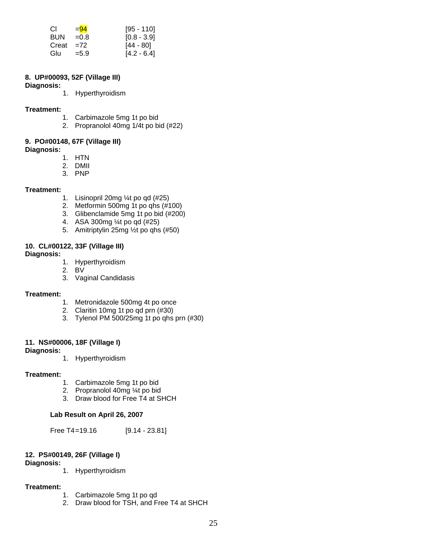| CI.         | $= 94$  | $[95 - 110]$  |
|-------------|---------|---------------|
| <b>BUN</b>  | $=0.8$  | $[0.8 - 3.9]$ |
| Creat $=72$ |         | $[44 - 80]$   |
| Glu         | $= 5.9$ | $[4.2 - 6.4]$ |

#### **8. UP#00093, 52F (Village III)**

**Diagnosis:** 

1. Hyperthyroidism

#### **Treatment:**

- 1. Carbimazole 5mg 1t po bid
- 2. Propranolol 40mg 1/4t po bid (#22)

# **9. PO#00148, 67F (Village III)**

**Diagnosis:** 

- 1. HTN
- 2. DMII
- 3. PNP

#### **Treatment:**

- 1. Lisinopril 20mg ¼t po qd (#25)
- 2. Metformin 500mg 1t po qhs (#100)
- 3. Glibenclamide 5mg 1t po bid (#200)
- 4. ASA 300mg ¼t po qd (#25)
- 5. Amitriptylin 25mg ½t po qhs (#50)

# **10. CL#00122, 33F (Village III)**

#### **Diagnosis:**

- 1. Hyperthyroidism
- 2. BV
- 3. Vaginal Candidasis

#### **Treatment:**

- 1. Metronidazole 500mg 4t po once
- 2. Claritin 10mg 1t po qd prn (#30)
- 3. Tylenol PM 500/25mg 1t po qhs prn (#30)

# **11. NS#00006, 18F (Village I)**

#### **Diagnosis:**

1. Hyperthyroidism

#### **Treatment:**

- 1. Carbimazole 5mg 1t po bid
- 2. Propranolol 40mg ¼t po bid
- 3. Draw blood for Free T4 at SHCH

# **Lab Result on April 26, 2007**

Free T4=19.16 [9.14 - 23.81]

# **12. PS#00149, 26F (Village I)**

#### **Diagnosis:**

1. Hyperthyroidism

# **Treatment:**

- 1. Carbimazole 5mg 1t po qd
- 2. Draw blood for TSH, and Free T4 at SHCH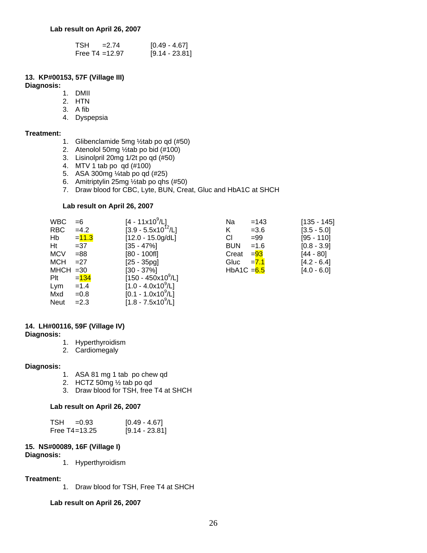| TSH<br>$= 2.74$   | [0.49 - 4.67]    |
|-------------------|------------------|
| Free T4 = $12.97$ | $[9.14 - 23.81]$ |

# **13. KP#00153, 57F (Village III)**

**Diagnosis:** 

- 1. DMII
- 2. HTN
- 3. A fib
- 4. Dyspepsia

#### **Treatment:**

- 1. Glibenclamide 5mg ½tab po qd (#50)
- 2. Atenolol 50mg ½tab po bid (#100)
- 3. Lisinolpril 20mg 1/2t po qd (#50)
- 4. MTV 1 tab po qd (#100)
- 5. ASA 300mg ¼tab po qd (#25)
- 6. Amitriptylin 25mg ½tab po qhs (#50)
- 7. Draw blood for CBC, Lyte, BUN, Creat, Gluc and HbA1C at SHCH

#### **Lab result on April 26, 2007**

| <b>WBC</b>  | $=6$     | [4 - 11x10 <sup>9</sup> /L]        | Na           | $=143$  | $[135 - 145]$ |
|-------------|----------|------------------------------------|--------------|---------|---------------|
| <b>RBC</b>  | $=4.2$   | $[3.9 - 5.5x10^{12}/L]$            | Κ            | $= 3.6$ | $[3.5 - 5.0]$ |
| Hb          | $= 11.3$ | $[12.0 - 15.0g/dL]$                | СI           | $= 99$  | $[95 - 110]$  |
| Ht          | $=37$    | $[35 - 47\%]$                      | <b>BUN</b>   | $=1.6$  | $[0.8 - 3.9]$ |
| <b>MCV</b>  | $= 88$   | [80 - 100fl]                       | Creat        | $= 93$  | [44 - 80]     |
| <b>MCH</b>  | $=27$    | $[25 - 35pq]$                      | Gluc         | $=7.1$  | $[4.2 - 6.4]$ |
| $MHCH = 30$ |          | $[30 - 37\%]$                      | HbA1C $=6.5$ |         | $[4.0 - 6.0]$ |
| Plt         | $= 134$  | $[150 - 450 \times 10^9/\text{L}]$ |              |         |               |
| Lym         | $=1.4$   | $[1.0 - 4.0x10^9/L]$               |              |         |               |
| Mxd         | $=0.8$   | $[0.1 - 1.0x10^9/L]$               |              |         |               |
| <b>Neut</b> | $=2.3$   | $[1.8 - 7.5x10^9/L]$               |              |         |               |

## **14. LH#00116, 59F (Village IV)**

**Diagnosis:** 

- 1. Hyperthyroidism
- 2. Cardiomegaly

#### **Diagnosis:**

- 1. ASA 81 mg 1 tab po chew qd
- 2. HCTZ 50mg ½ tab po qd
- 3. Draw blood for TSH, free T4 at SHCH

#### **Lab result on April 26, 2007**

| $TSH = 0.93$      | $[0.49 - 4.67]$  |
|-------------------|------------------|
| Free $T4 = 13.25$ | $[9.14 - 23.81]$ |

# **15. NS#00089, 16F (Village I)**

**Diagnosis:** 

1. Hyperthyroidism

# **Treatment:**

1. Draw blood for TSH, Free T4 at SHCH

#### **Lab result on April 26, 2007**